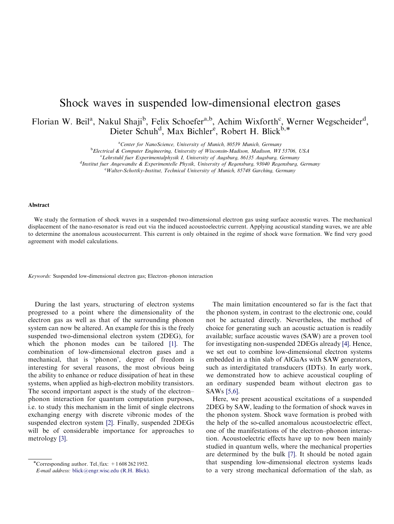## Shock waves in suspended low-dimensional electron gases

Florian W. Beil<sup>a</sup>, Nakul Shaji<sup>b</sup>, Felix Schoefer<sup>a,b</sup>, Achim Wixforth<sup>c</sup>, Werner Wegscheider<sup>d</sup>, Dieter Schuh<sup>d</sup>, Max Bichler<sup>e</sup>, Robert H. Blick<sup>b,\*</sup>

<sup>a</sup>Center for NanoScience, University of Munich, 80539 Munich, Germany

<sup>b</sup>Electrical & Computer Engineering, University of Wisconsin-Madison, Madison, WI 53706, USA

 $c'Leh$ rstuhl fuer Experimentalphysik I, University of Augsburg, 86135 Augsburg, Germany

<sup>d</sup>Institut fuer Angewandte & Experimentelle Physik, University of Regensburg, 93040 Regensburg, Germany

e Walter-Schottky-Institut, Technical University of Munich, 85748 Garching, Germany

## Abstract

We study the formation of shock waves in a suspended two-dimensional electron gas using surface acoustic waves. The mechanical displacement of the nano-resonator is read out via the induced acoustoelectric current. Applying acoustical standing waves, we are able to determine the anomalous acoustocurrent. This current is only obtained in the regime of shock wave formation. We find very good agreement with model calculations.

Keywords: Suspended low-dimensional electron gas; Electron–phonon interaction

During the last years, structuring of electron systems progressed to a point where the dimensionality of the electron gas as well as that of the surrounding phonon system can now be altered. An example for this is the freely suspended two-dimensional electron system (2DEG), for which the phonon modes can be tailored [\[1\]](#page-2-0). The combination of low-dimensional electron gases and a mechanical, that is 'phonon', degree of freedom is interesting for several reasons, the most obvious being the ability to enhance or reduce dissipation of heat in these systems, when applied as high-electron mobility transistors. The second important aspect is the study of the electron– phonon interaction for quantum computation purposes, i.e. to study this mechanism in the limit of single electrons exchanging energy with discrete vibronic modes of the suspended electron system [\[2\].](#page-2-0) Finally, suspended 2DEGs will be of considerable importance for approaches to metrology [\[3\].](#page-2-0)

The main limitation encountered so far is the fact that the phonon system, in contrast to the electronic one, could not be actuated directly. Nevertheless, the method of choice for generating such an acoustic actuation is readily available; surface acoustic waves (SAW) are a proven tool for investigating non-suspended 2DEGs already [\[4\].](#page-2-0) Hence, we set out to combine low-dimensional electron systems embedded in a thin slab of AlGaAs with SAW generators, such as interdigitated transducers (IDTs). In early work, we demonstrated how to achieve acoustical coupling of an ordinary suspended beam without electron gas to SAWs [\[5,6\].](#page-2-0)

Here, we present acoustical excitations of a suspended 2DEG by SAW, leading to the formation of shock waves in the phonon system. Shock wave formation is probed with the help of the so-called anomalous acoustoelectric effect, one of the manifestations of the electron–phonon interaction. Acoustoelectric effects have up to now been mainly studied in quantum wells, where the mechanical properties are determined by the bulk [\[7\]](#page-2-0). It should be noted again that suspending low-dimensional electron systems leads to a very strong mechanical deformation of the slab, as

<sup>\*</sup>Corresponding author. Tel./fax:  $+16082621952$ .

E-mail address: [blick@engr.wisc.edu](mailto:blick@engr.wisc.edu) (R.H. Blick).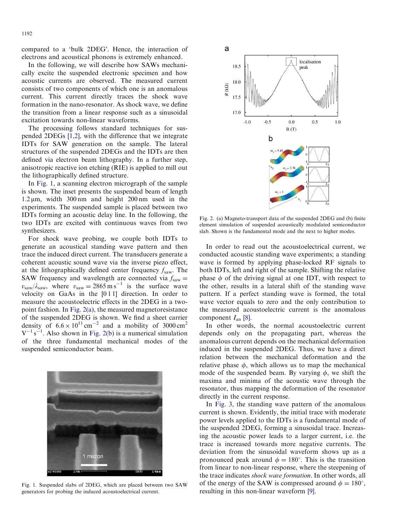compared to a 'bulk 2DEG'. Hence, the interaction of electrons and acoustical phonons is extremely enhanced.

In the following, we will describe how SAWs mechanically excite the suspended electronic specimen and how acoustic currents are observed. The measured current consists of two components of which one is an anomalous current. This current directly traces the shock wave formation in the nano-resonator. As shock wave, we define the transition from a linear response such as a sinusoidal excitation towards non-linear waveforms.

The processing follows standard techniques for suspended 2DEGs [\[1,2\]](#page-2-0), with the difference that we integrate IDTs for SAW generation on the sample. The lateral structures of the suspended 2DEGs and the IDTs are then defined via electron beam lithography. In a further step, anisotropic reactive ion etching (RIE) is applied to mill out the lithographically defined structure.

In Fig. 1, a scanning electron micrograph of the sample is shown. The inset presents the suspended beam of length  $1.2 \mu m$ , width 300 nm and height 200 nm used in the experiments. The suspended sample is placed between two IDTs forming an acoustic delay line. In the following, the two IDTs are excited with continuous waves from two synthesizers.

For shock wave probing, we couple both IDTs to generate an acoustical standing wave pattern and then trace the induced direct current. The transducers generate a coherent acoustic sound wave via the inverse piezo effect, at the lithographically defined center frequency  $f_{\text{saw}}$ . The SAW frequency and wavelength are connected via  $f_{\text{saw}} =$  $v_{\text{saw}}/\lambda_{\text{saw}}$ , where  $v_{\text{saw}} = 2865 \text{ m s}^{-1}$  is the surface wave velocity on GaAs in the [0 1 1] direction. In order to measure the acoustoelectric effects in the 2DEG in a twopoint fashion. In Fig. 2(a), the measured magnetoresistance of the suspended 2DEG is shown. We find a sheet carrier density of  $6.6 \times 10^{11}$  cm<sup>-2</sup> and a mobility of 3000 cm<sup>2</sup>  $V^{-1}$  s<sup>-1</sup>. Also shown in Fig. 2(b) is a numerical simulation of the three fundamental mechanical modes of the suspended semiconductor beam.



Fig. 1. Suspended slabs of 2DEG, which are placed between two SAW generators for probing the induced acoustoelectrical current.



Fig. 2. (a) Magneto-transport data of the suspended 2DEG and (b) finite element simulation of suspended acoustically modulated semiconductor slab. Shown is the fundamental mode and the next to higher modes.

In order to read out the acoustoelectrical current, we conducted acoustic standing wave experiments; a standing wave is formed by applying phase-locked RF signals to both IDTs, left and right of the sample. Shifting the relative phase  $\phi$  of the driving signal at one IDT, with respect to the other, results in a lateral shift of the standing wave pattern. If a perfect standing wave is formed, the total wave vector equals to zero and the only contribution to the measured acoustoelectric current is the anomalous component  $I_{\rm an}$  [\[8\]](#page-2-0).

In other words, the normal acoustoelectric current depends only on the propagating part, whereas the anomalous current depends on the mechanical deformation induced in the suspended 2DEG. Thus, we have a direct relation between the mechanical deformation and the relative phase  $\phi$ , which allows us to map the mechanical mode of the suspended beam. By varying  $\phi$ , we shift the maxima and minima of the acoustic wave through the resonator, thus mapping the deformation of the resonator directly in the current response.

In [Fig.](#page-2-0) 3, the standing wave pattern of the anomalous current is shown. Evidently, the initial trace with moderate power levels applied to the IDTs is a fundamental mode of the suspended 2DEG, forming a sinusoidal trace. Increasing the acoustic power leads to a larger current, i.e. the trace is increased towards more negative currents. The deviation from the sinusoidal waveform shows up as a pronounced peak around  $\phi = 180^{\circ}$ . This is the transition from linear to non-linear response, where the steepening of the trace indicates shock wave formation. In other words, all of the energy of the SAW is compressed around  $\phi = 180^{\circ}$ , resulting in this non-linear waveform [\[9\].](#page-2-0)